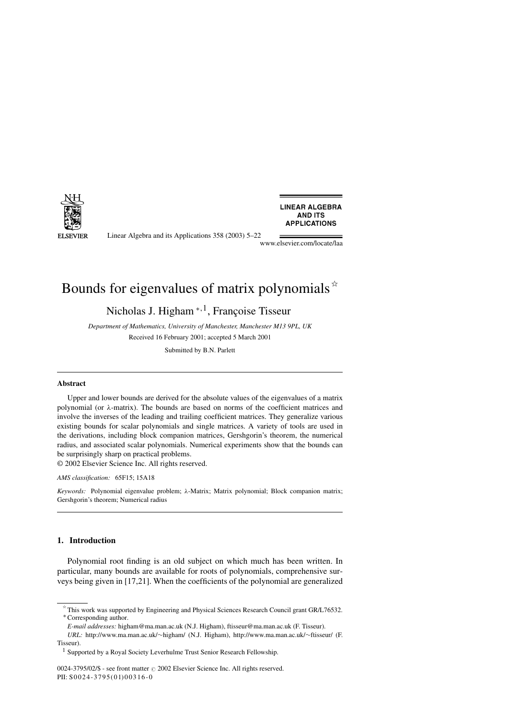

**LINEAR ALGEBRA AND ITS APPLICATIONS** 

Linear Algebra and its Applications 358 (2003) 5–22

www.elsevier.com/locate/laa

# Bounds for eigenvalues of matrix polynomials  $*$

Nicholas J. Higham <sup>∗</sup>*,*1, Françoise Tisseur

*Department of Mathematics, University of Manchester, Manchester M13 9PL, UK* Received 16 February 2001; accepted 5 March 2001

Submitted by B.N. Parlett

#### **Abstract**

Upper and lower bounds are derived for the absolute values of the eigenvalues of a matrix polynomial (or *λ*-matrix). The bounds are based on norms of the coefficient matrices and involve the inverses of the leading and trailing coefficient matrices. They generalize various existing bounds for scalar polynomials and single matrices. A variety of tools are used in the derivations, including block companion matrices, Gershgorin's theorem, the numerical radius, and associated scalar polynomials. Numerical experiments show that the bounds can be surprisingly sharp on practical problems.

© 2002 Elsevier Science Inc. All rights reserved.

*AMS classification:* 65F15; 15A18

*Keywords:* Polynomial eigenvalue problem; *λ*-Matrix; Matrix polynomial; Block companion matrix; Gershgorin's theorem; Numerical radius

# **1. Introduction**

Polynomial root finding is an old subject on which much has been written. In particular, many bounds are available for roots of polynomials, comprehensive surveys being given in [17,21]. When the coefficients of the polynomial are generalized

 $*$  This work was supported by Engineering and Physical Sciences Research Council grant GR/L76532. ∗ Corresponding author.

*E-mail addresses:* higham@ma.man.ac.uk (N.J. Higham), ftisseur@ma.man.ac.uk (F. Tisseur).

*URL:* http://www.ma.man.ac.uk/∼higham/ (N.J. Higham), http://www.ma.man.ac.uk/∼ftisseur/ (F. Tisseur).

<sup>1</sup> Supported by a Royal Society Leverhulme Trust Senior Research Fellowship.

<sup>0024-3795/02/\$ -</sup> see front matter  $\odot$  2002 Elsevier Science Inc. All rights reserved. PII: S0024-3795(01) 00316-0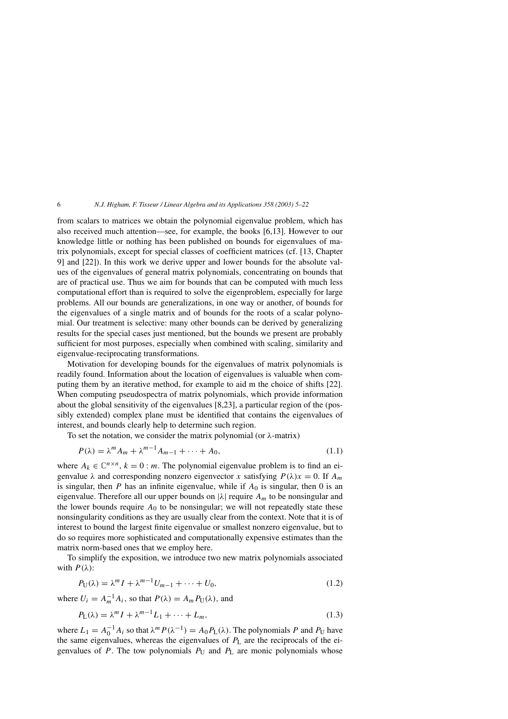from scalars to matrices we obtain the polynomial eigenvalue problem, which has also received much attention—see, for example, the books [6,13]. However to our knowledge little or nothing has been published on bounds for eigenvalues of matrix polynomials, except for special classes of coefficient matrices (cf. [13, Chapter 9] and [22]). In this work we derive upper and lower bounds for the absolute values of the eigenvalues of general matrix polynomials, concentrating on bounds that are of practical use. Thus we aim for bounds that can be computed with much less computational effort than is required to solve the eigenproblem, especially for large problems. All our bounds are generalizations, in one way or another, of bounds for the eigenvalues of a single matrix and of bounds for the roots of a scalar polynomial. Our treatment is selective: many other bounds can be derived by generalizing results for the special cases just mentioned, but the bounds we present are probably sufficient for most purposes, especially when combined with scaling, similarity and eigenvalue-reciprocating transformations.

Motivation for developing bounds for the eigenvalues of matrix polynomials is readily found. Information about the location of eigenvalues is valuable when computing them by an iterative method, for example to aid m the choice of shifts [22]. When computing pseudospectra of matrix polynomials, which provide information about the global sensitivity of the eigenvalues [8,23], a particular region of the (possibly extended) complex plane must be identified that contains the eigenvalues of interest, and bounds clearly help to determine such region.

To set the notation, we consider the matrix polynomial (or *λ*-matrix)

$$
P(\lambda) = \lambda^m A_m + \lambda^{m-1} A_{m-1} + \dots + A_0,
$$
\n(1.1)

where  $A_k \in \mathbb{C}^{n \times n}$ ,  $k = 0$ : *m*. The polynomial eigenvalue problem is to find an eigenvalue  $\lambda$  and corresponding nonzero eigenvector *x* satisfying  $P(\lambda)x = 0$ . If  $A_m$ is singular, then  $P$  has an infinite eigenvalue, while if  $A_0$  is singular, then 0 is an eigenvalue. Therefore all our upper bounds on |*λ*| require *Am* to be nonsingular and the lower bounds require  $A_0$  to be nonsingular; we will not repeatedly state these nonsingularity conditions as they are usually clear from the context. Note that it is of interest to bound the largest finite eigenvalue or smallest nonzero eigenvalue, but to do so requires more sophisticated and computationally expensive estimates than the matrix norm-based ones that we employ here.

To simplify the exposition, we introduce two new matrix polynomials associated with  $P(\lambda)$ :

$$
P_{\mathbf{U}}(\lambda) = \lambda^m I + \lambda^{m-1} U_{m-1} + \dots + U_0,\tag{1.2}
$$

where  $U_i = A_m^{-1} A_i$ , so that  $P(\lambda) = A_m P_U(\lambda)$ , and

$$
P_L(\lambda) = \lambda^m I + \lambda^{m-1} L_1 + \dots + L_m,
$$
\n(1.3)

where  $L_1 = A_0^{-1} A_i$  so that  $\lambda^m P(\lambda^{-1}) = A_0 P_L(\lambda)$ . The polynomials *P* and  $P_U$  have the same eigenvalues, whereas the eigenvalues of *P*<sup>L</sup> are the reciprocals of the eigenvalues of  $P$ . The tow polynomials  $P_U$  and  $P_L$  are monic polynomials whose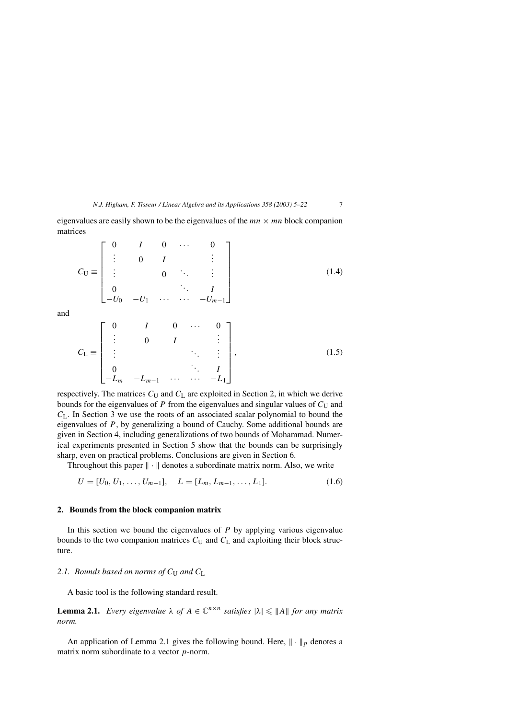eigenvalues are easily shown to be the eigenvalues of the  $mn \times mn$  block companion matrices

$$
C_{\mathbf{U}} \equiv \begin{bmatrix} 0 & I & 0 & \cdots & 0 \\ \vdots & 0 & I & & \vdots \\ \vdots & & 0 & \ddots & \vdots \\ 0 & & & \ddots & I \\ -U_0 & -U_1 & \cdots & \cdots & -U_{m-1} \end{bmatrix}
$$
(1.4)

and

$$
C_{L} \equiv \begin{bmatrix} 0 & I & 0 & \cdots & 0 \\ \vdots & 0 & I & \vdots \\ \vdots & & & \ddots & \vdots \\ 0 & & & & I \\ -L_{m} & -L_{m-1} & \cdots & \cdots & -L_{1} \end{bmatrix},
$$
(1.5)

respectively. The matrices  $C_U$  and  $C_L$  are exploited in Section 2, in which we derive bounds for the eigenvalues of  $P$  from the eigenvalues and singular values of  $C_U$  and *C*L*.* In Section 3 we use the roots of an associated scalar polynomial to bound the eigenvalues of *P*, by generalizing a bound of Cauchy. Some additional bounds are given in Section 4, including generalizations of two bounds of Mohammad. Numerical experiments presented in Section 5 show that the bounds can be surprisingly sharp, even on practical problems. Conclusions are given in Section 6.

Throughout this paper  $\|\cdot\|$  denotes a subordinate matrix norm. Also, we write

$$
U = [U_0, U_1, \dots, U_{m-1}], \quad L = [L_m, L_{m-1}, \dots, L_1]. \tag{1.6}
$$

#### **2. Bounds from the block companion matrix**

In this section we bound the eigenvalues of *P* by applying various eigenvalue bounds to the two companion matrices  $C_U$  and  $C_L$  and exploiting their block structure.

#### 2.1. Bounds based on norms of  $C_U$  and  $C_L$

A basic tool is the following standard result.

**Lemma 2.1.** *Every eigenvalue*  $\lambda$  *of*  $A \in \mathbb{C}^{n \times n}$  *satisfies*  $|\lambda| \leq ||A||$  *for any matrix norm.*

An application of Lemma 2.1 gives the following bound. Here,  $\|\cdot\|_p$  denotes a matrix norm subordinate to a vector *p*-norm.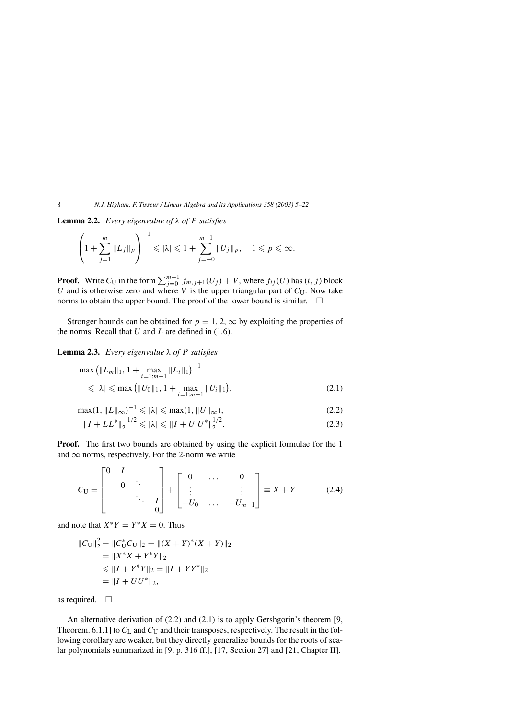**Lemma 2.2.** *Every eigenvalue of λ of P satisfies*

$$
\left(1+\sum_{j=1}^m \|L_j\|_p\right)^{-1} \leqslant |\lambda| \leqslant 1+\sum_{j=-0}^{m-1} \|U_j\|_p, \quad 1 \leqslant p \leqslant \infty.
$$

**Proof.** Write  $C_U$  in the form  $\sum_{j=0}^{m-1} f_{m,j+1}(U_j) + V$ , where  $f_{ij}(U)$  has  $(i, j)$  block *U* and is otherwise zero and where *V* is the upper triangular part of  $C_U$ . Now take norms to obtain the upper bound. The proof of the lower bound is similar.  $\Box$ 

Stronger bounds can be obtained for  $p = 1, 2, \infty$  by exploiting the properties of the norms. Recall that  $U$  and  $L$  are defined in (1.6).

**Lemma 2.3.** *Every eigenvalue λ of P satisfies*

$$
\max\left(\|L_m\|_1, 1 + \max_{i=1:m-1} \|L_i\|_1\right)^{-1} \le |\lambda| \le \max\left(\|U_0\|_1, 1 + \max_{i=1:m-1} \|U_i\|_1\right),\tag{2.1}
$$

$$
\max(1, \|L\|_{\infty})^{-1} \leqslant |\lambda| \leqslant \max(1, \|U\|_{\infty}),\tag{2.2}
$$

$$
||I + LL^*||_2^{-1/2} \le |\lambda| \le ||I + U U^*||_2^{1/2}.
$$
 (2.3)

**Proof.** The first two bounds are obtained by using the explicit formulae for the 1 and  $\infty$  norms, respectively. For the 2-norm we write

$$
C_{\mathbf{U}} = \begin{bmatrix} 0 & I & & \\ & 0 & \ddots & \\ & & \ddots & I \\ & & & 0 \end{bmatrix} + \begin{bmatrix} 0 & \dots & 0 \\ \vdots & & \vdots \\ -U_0 & \dots & -U_{m-1} \end{bmatrix} \equiv X + Y \tag{2.4}
$$

and note that  $X^*Y = Y^*X = 0$ . Thus

$$
||C_{U}||_{2}^{2} = ||C_{U}^{*}C_{U}||_{2} = ||(X + Y)^{*}(X + Y)||_{2}
$$
  
=  $||X^{*}X + Y^{*}Y||_{2}$   
 $\leq ||I + Y^{*}Y||_{2} = ||I + YY^{*}||_{2}$   
=  $||I + UU^{*}||_{2}$ ,

as required.  $\Box$ 

An alternative derivation of (2.2) and (2.1) is to apply Gershgorin's theorem [9, Theorem. 6.1.1] to  $C_L$  and  $C_U$  and their transposes, respectively. The result in the following corollary are weaker, but they directly generalize bounds for the roots of scalar polynomials summarized in [9, p. 316 ff.], [17, Section 27] and [21, Chapter II].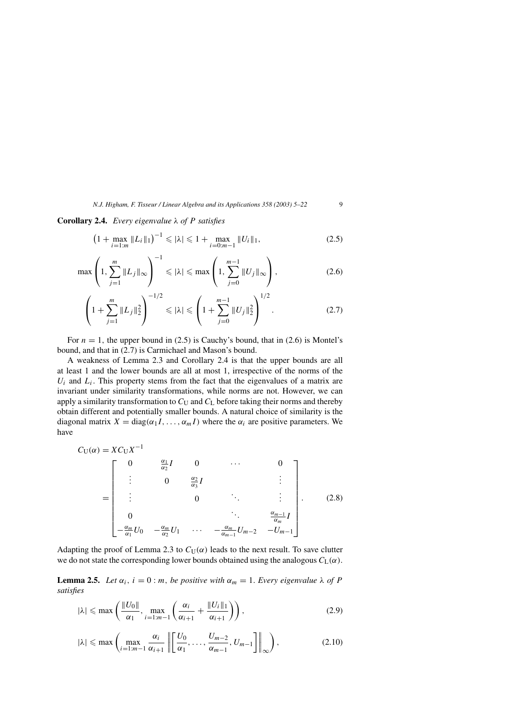**Corollary 2.4.** *Every eigenvalue λ of P satisfies*

$$
\left(1 + \max_{i=1:m} \|L_i\|_1\right)^{-1} \leqslant |\lambda| \leqslant 1 + \max_{i=0:m-1} \|U_i\|_1,\tag{2.5}
$$

$$
\max\left(1, \sum_{j=1}^{m} \|L_j\|_{\infty}\right)^{-1} \leqslant |\lambda| \leqslant \max\left(1, \sum_{j=0}^{m-1} \|U_j\|_{\infty}\right),\tag{2.6}
$$

$$
\left(1 + \sum_{j=1}^{m} \|L_j\|_2^2\right)^{-1/2} \le |\lambda| \le \left(1 + \sum_{j=0}^{m-1} \|U_j\|_2^2\right)^{1/2}.
$$
 (2.7)

For  $n = 1$ , the upper bound in (2.5) is Cauchy's bound, that in (2.6) is Montel's bound, and that in (2.7) is Carmichael and Mason's bound.

A weakness of Lemma 2.3 and Corollary 2.4 is that the upper bounds are all at least 1 and the lower bounds are all at most 1, irrespective of the norms of the  $U_i$  and  $L_i$ . This property stems from the fact that the eigenvalues of a matrix are invariant under similarity transformations, while norms are not. However, we can apply a similarity transformation to  $C_U$  and  $C_L$  before taking their norms and thereby obtain different and potentially smaller bounds. A natural choice of similarity is the diagonal matrix  $X = diag(\alpha_1 I, \dots, \alpha_m I)$  where the  $\alpha_i$  are positive parameters. We have

$$
C_{\mathbf{U}}(\alpha) = X C_{\mathbf{U}} X^{-1}
$$
\n
$$
= \begin{bmatrix}\n0 & \frac{\alpha_1}{\alpha_2} I & 0 & \cdots & 0 \\
\vdots & 0 & \frac{\alpha_2}{\alpha_3} I & \vdots \\
\vdots & 0 & \ddots & \vdots \\
0 & & & \ddots & \frac{\alpha_{m-1}}{\alpha_m} I \\
-\frac{\alpha_m}{\alpha_1} U_0 & -\frac{\alpha_m}{\alpha_2} U_1 & \cdots & -\frac{\alpha_m}{\alpha_{m-1}} U_{m-2} & -U_{m-1}\n\end{bmatrix}.
$$
\n(2.8)

Adapting the proof of Lemma 2.3 to  $C_U(\alpha)$  leads to the next result. To save clutter we do not state the corresponding lower bounds obtained using the analogous  $C_L(\alpha)$ .

**Lemma 2.5.** *Let*  $\alpha_i$ ,  $i = 0$ : *m*, *be positive with*  $\alpha_m = 1$ *. Every eigenvalue*  $\lambda$  *of P satisfies*

$$
|\lambda| \le \max\left(\frac{\|U_0\|}{\alpha_1}, \max_{i=1:m-1} \left(\frac{\alpha_i}{\alpha_{i+1}} + \frac{\|U_i\|_1}{\alpha_{i+1}}\right)\right),\tag{2.9}
$$

$$
|\lambda| \le \max\left(\max_{i=1:m-1} \frac{\alpha_i}{\alpha_{i+1}} \left\| \left[\frac{U_0}{\alpha_1}, \dots, \frac{U_{m-2}}{\alpha_{m-1}}, U_{m-1}\right] \right\|_{\infty}\right),\tag{2.10}
$$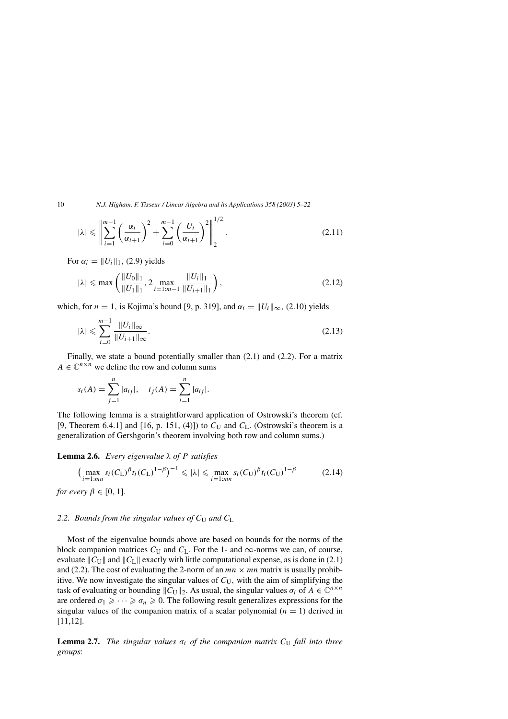$$
|\lambda| \leq \left\| \sum_{i=1}^{m-1} \left( \frac{\alpha_i}{\alpha_{i+1}} \right)^2 + \sum_{i=0}^{m-1} \left( \frac{U_i}{\alpha_{i+1}} \right)^2 \right\|_2^{1/2}.
$$
 (2.11)

For  $\alpha_i = ||U_i||_1$ , (2.9) yields

$$
|\lambda| \le \max\left(\frac{\|U_0\|_1}{\|U_1\|_1}, 2 \max_{i=1:m-1} \frac{\|U_i\|_1}{\|U_{i+1}\|_1}\right),\tag{2.12}
$$

which, for  $n = 1$ , is Kojima's bound [9, p. 319], and  $\alpha_i = ||U_i||_{\infty}$ , (2.10) yields

$$
|\lambda| \leqslant \sum_{i=0}^{m-1} \frac{\|U_i\|_{\infty}}{\|U_{i+1}\|_{\infty}}.
$$
\n(2.13)

Finally, we state a bound potentially smaller than (2.1) and (2.2). For a matrix  $A \in \mathbb{C}^{n \times n}$  we define the row and column sums

$$
s_i(A) = \sum_{j=1}^n |a_{ij}|, \quad t_j(A) = \sum_{i=1}^n |a_{ij}|.
$$

The following lemma is a straightforward application of Ostrowski's theorem (cf. [9, Theorem 6.4.1] and [16, p. 151, (4)]) to  $C_U$  and  $C_L$ . (Ostrowski's theorem is a generalization of Gershgorin's theorem involving both row and column sums.)

#### **Lemma 2.6.** *Every eigenvalue λ of P satisfies*

$$
\left(\max_{i=1:m} s_i (C_{\mathrm{L}})^{\beta} t_i (C_{\mathrm{L}})^{1-\beta}\right)^{-1} \leqslant |\lambda| \leqslant \max_{i=1:m} s_i (C_{\mathrm{U}})^{\beta} t_i (C_{\mathrm{U}})^{1-\beta} \tag{2.14}
$$

*for every*  $\beta \in [0, 1]$ *.* 

# 2.2. Bounds from the singular values of  $C_U$  and  $C_L$

Most of the eigenvalue bounds above are based on bounds for the norms of the block companion matrices  $C_U$  and  $C_L$ . For the 1- and  $\infty$ -norms we can, of course, evaluate  $||C_U||$  and  $||C_L||$  exactly with little computational expense, as is done in (2.1) and (2.2). The cost of evaluating the 2-norm of an  $mn \times mn$  matrix is usually prohibitive. We now investigate the singular values of  $C_U$ , with the aim of simplifying the task of evaluating or bounding  $||C_U||_2$ . As usual, the singular values  $\sigma_i$  of  $A \in \mathbb{C}^{n \times n}$ are ordered  $\sigma_1 \geqslant \cdots \geqslant \sigma_n \geqslant 0$ . The following result generalizes expressions for the singular values of the companion matrix of a scalar polynomial  $(n = 1)$  derived in [11,12].

**Lemma 2.7.** *The singular values*  $\sigma_i$  *of the companion matrix*  $C_U$  *fall into three groups*: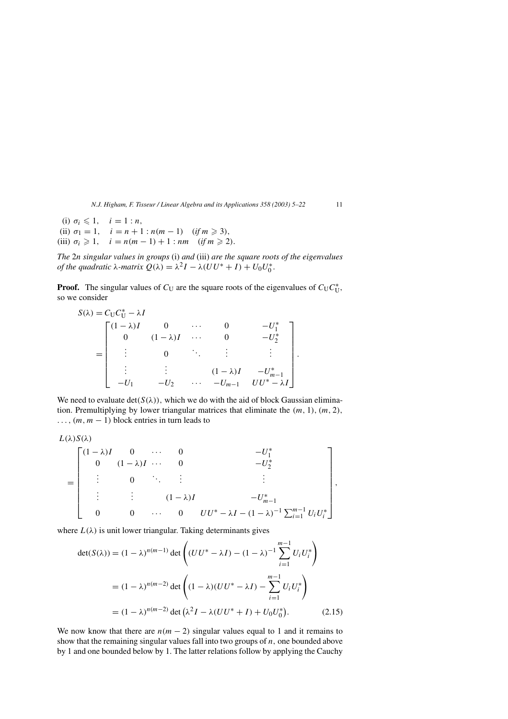(i)  $\sigma_i \leq 1$ ,  $i = 1:n$ , (ii)  $\sigma_1 = 1$ ,  $i = n + 1 : n(m - 1)$  (*if*  $m \ge 3$ ), (iii)  $\sigma_i \ge 1$ ,  $i = n(m-1) + 1 : nm$  (*if*  $m \ge 2$ ).

*The* 2*n singular values in groups* (i) *and* (iii) *are the square roots of the eigenvalues of the quadratic*  $\lambda$ *-matrix*  $Q(\lambda) = \lambda^2 I - \lambda (UU^* + I) + U_0 U_0^*$ .

**Proof.** The singular values of  $C_U$  are the square roots of the eigenvalues of  $C_U C_U^*$ , so we consider

$$
S(\lambda) = C_{U}C_{U}^{*} - \lambda I
$$
  
= 
$$
\begin{bmatrix} (1 - \lambda)I & 0 & \cdots & 0 & -U_{1}^{*} \\ 0 & (1 - \lambda)I & \cdots & 0 & -U_{2}^{*} \\ \vdots & 0 & \ddots & \vdots & \vdots \\ \vdots & \vdots & \ddots & (1 - \lambda)I & -U_{m-1}^{*} \\ -U_{1} & -U_{2} & \cdots & -U_{m-1} & UU^{*} - \lambda I \end{bmatrix}.
$$

We need to evaluate  $det(S(\lambda))$ , which we do with the aid of block Gaussian elimination. Premultiplying by lower triangular matrices that eliminate the *(m,* 1*), (m,* 2*),*  $\ldots$ ,  $(m, m - 1)$  block entries in turn leads to

$$
L(\lambda)S(\lambda)
$$

$$
= \begin{bmatrix} (1-\lambda)I & 0 & \cdots & 0 & -U_1^* \\ 0 & (1-\lambda)I & \cdots & 0 & -U_2^* \\ \vdots & 0 & \ddots & \vdots & & \vdots \\ \vdots & \vdots & & (1-\lambda)I & -U_{m-1}^* \\ 0 & 0 & \cdots & 0 & UU^* - \lambda I - (1-\lambda)^{-1} \sum_{i=1}^{m-1} U_i U_i^* \end{bmatrix},
$$

where  $L(\lambda)$  is unit lower triangular. Taking determinants gives

$$
\det(S(\lambda)) = (1 - \lambda)^{n(m-1)} \det \left( (UU^* - \lambda I) - (1 - \lambda)^{-1} \sum_{i=1}^{m-1} U_i U_i^* \right)
$$
  
=  $(1 - \lambda)^{n(m-2)} \det \left( (1 - \lambda)(UU^* - \lambda I) - \sum_{i=1}^{m-1} U_i U_i^* \right)$   
=  $(1 - \lambda)^{n(m-2)} \det (\lambda^2 I - \lambda (UU^* + I) + U_0 U_0^*).$  (2.15)

We now know that there are  $n(m - 2)$  singular values equal to 1 and it remains to show that the remaining singular values fall into two groups of *n,* one bounded above by 1 and one bounded below by 1. The latter relations follow by applying the Cauchy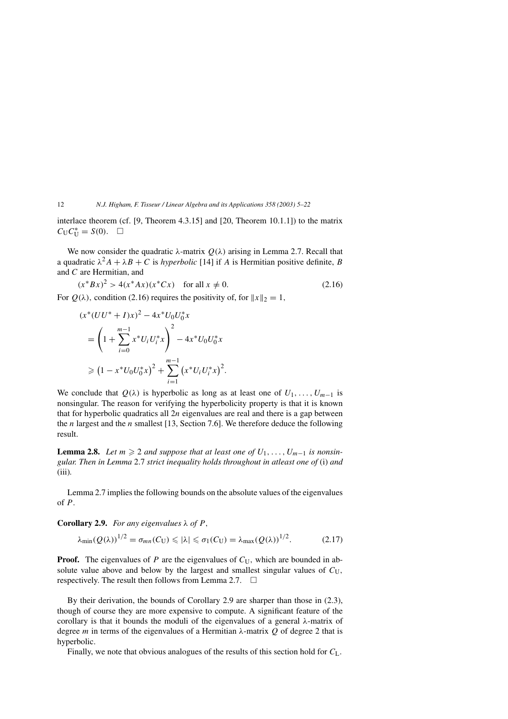interlace theorem (cf. [9, Theorem 4.3.15] and [20, Theorem 10.1.1]) to the matrix  $C_U C_U^* = S(0)$ .  $\Box$ 

We now consider the quadratic *λ*-matrix  $Q(λ)$  arising in Lemma 2.7. Recall that a quadratic  $\lambda^2 A + \lambda B + C$  is *hyperbolic* [14] if *A* is Hermitian positive definite, *B* and *C* are Hermitian, and

$$
(x^* B x)^2 > 4(x^* A x)(x^* C x) \quad \text{for all } x \neq 0. \tag{2.16}
$$
  
For  $Q(\lambda)$ , condition (2.16) requires the positivity of, for  $||x||_2 = 1$ ,

$$
(x^*(UU^* + I)x)^2 - 4x^*U_0U_0^*x
$$
  
=  $\left(1 + \sum_{i=0}^{m-1} x^*U_iU_i^*x\right)^2 - 4x^*U_0U_0^*x$   
 $\geq (1 - x^*U_0U_0^*x)^2 + \sum_{i=1}^{m-1} (x^*U_iU_i^*x)^2.$ 

We conclude that  $Q(\lambda)$  is hyperbolic as long as at least one of  $U_1, \ldots, U_{m-1}$  is nonsingular. The reason for verifying the hyperbolicity property is that it is known that for hyperbolic quadratics all 2*n* eigenvalues are real and there is a gap between the *n* largest and the *n* smallest [13, Section 7.6]. We therefore deduce the following result.

**Lemma 2.8.** *Let*  $m \geq 2$  *and suppose that at least one of*  $U_1, \ldots, U_{m-1}$  *is nonsingular. Then in Lemma* 2.7 *strict inequality holds throughout in atleast one of* (i) *and* (iii)*.*

Lemma 2.7 implies the following bounds on the absolute values of the eigenvalues of *P.*

**Corollary 2.9.** *For any eigenvalues λ of P ,*

$$
\lambda_{\min}(Q(\lambda))^{1/2} = \sigma_{mn}(C_U) \leqslant |\lambda| \leqslant \sigma_1(C_U) = \lambda_{\max}(Q(\lambda))^{1/2}.
$$
 (2.17)

**Proof.** The eigenvalues of *P* are the eigenvalues of  $C_U$ , which are bounded in absolute value above and below by the largest and smallest singular values of  $C_U$ , respectively. The result then follows from Lemma 2.7.  $\Box$ 

By their derivation, the bounds of Corollary 2.9 are sharper than those in (2.3), though of course they are more expensive to compute. A significant feature of the corollary is that it bounds the moduli of the eigenvalues of a general *λ*-matrix of degree *m* in terms of the eigenvalues of a Hermitian *λ*-matrix *Q* of degree 2 that is hyperbolic.

Finally, we note that obvious analogues of the results of this section hold for  $C_L$ .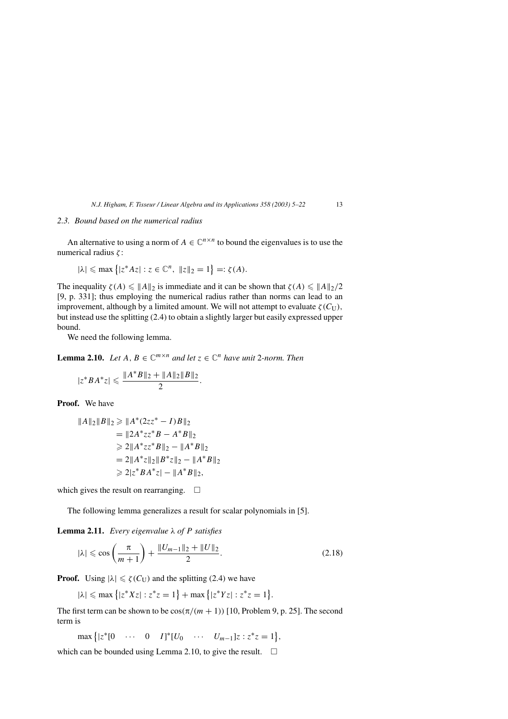#### *2.3. Bound based on the numerical radius*

An alternative to using a norm of  $A \in \mathbb{C}^{n \times n}$  to bound the eigenvalues is to use the numerical radius *ζ* :

$$
|\lambda| \le \max\left\{|z^*Az| : z \in \mathbb{C}^n, \|z\|_2 = 1\right\} =: \zeta(A).
$$

The inequality  $\zeta(A) \leq ||A||_2$  is immediate and it can be shown that  $\zeta(A) \leq ||A||_2/2$ [9, p. 331]; thus employing the numerical radius rather than norms can lead to an improvement, although by a limited amount. We will not attempt to evaluate  $\zeta$  ( $C_U$ ), but instead use the splitting (2.4) to obtain a slightly larger but easily expressed upper bound.

We need the following lemma.

**Lemma 2.10.** *Let*  $A, B \in \mathbb{C}^{m \times n}$  *and let*  $z \in \mathbb{C}^n$  *have unit* 2*-norm. Then* 

$$
|z^*BA^*z| \leq \frac{\|A^*B\|_2 + \|A\|_2\|B\|_2}{2}.
$$

**Proof.** We have

$$
||A||_2||B||_2 \ge ||A^*(2zz^* - I)B||_2
$$
  
=  $||2A^*zz^*B - A^*B||_2$   
 $\ge 2||A^*zz^*B||_2 - ||A^*B||_2$   
=  $2||A^*z||_2||B^*z||_2 - ||A^*B||_2$   
 $\ge 2|z^*BA^*z| - ||A^*B||_2,$ 

which gives the result on rearranging.  $\Box$ 

The following lemma generalizes a result for scalar polynomials in [5].

**Lemma 2.11.** *Every eigenvalue λ of P satisfies*

$$
|\lambda| \leqslant \cos\left(\frac{\pi}{m+1}\right) + \frac{\|U_{m-1}\|_2 + \|U\|_2}{2}.
$$
 (2.18)

**Proof.** Using  $|\lambda| \le \zeta(C_U)$  and the splitting (2.4) we have

 $|\lambda| \le \max\{|z^*Xz| : z^*z = 1\} + \max\{|z^*Yz| : z^*z = 1\}.$ 

The first term can be shown to be  $\cos(\pi/(m + 1))$  [10, Problem 9, p. 25]. The second term is

*,*

$$
\max \left\{ |z^*[0 \quad \cdots \quad 0 \quad I]^*[U_0 \quad \cdots \quad U_{m-1}]z : z^*z = 1 \right\}
$$

which can be bounded using Lemma 2.10, to give the result.  $\Box$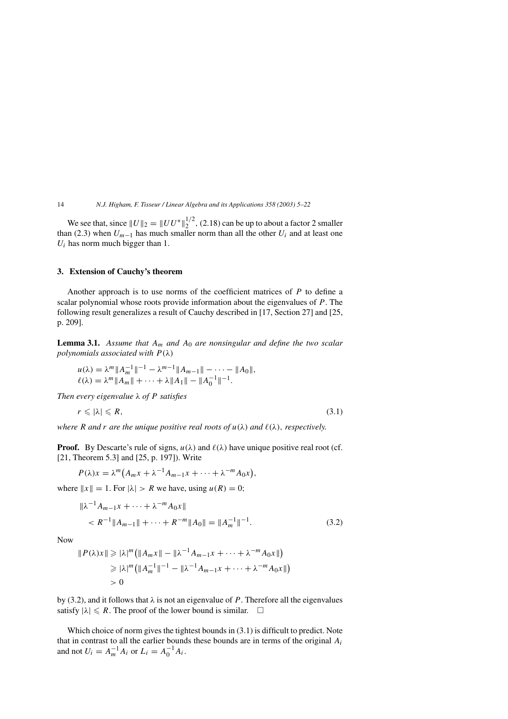We see that, since  $||U||_2 = ||UU^*||_2^{1/2}$ , (2.18) can be up to about a factor 2 smaller than (2.3) when  $U_{m-1}$  has much smaller norm than all the other  $U_i$  and at least one  $U_i$  has norm much bigger than 1.

#### **3. Extension of Cauchy's theorem**

Another approach is to use norms of the coefficient matrices of *P* to define a scalar polynomial whose roots provide information about the eigenvalues of *P.* The following result generalizes a result of Cauchy described in [17, Section 27] and [25, p. 209].

**Lemma 3.1.** *Assume that Am and A*<sup>0</sup> *are nonsingular and define the two scalar polynomials associated with P (λ)*

$$
u(\lambda) = \lambda^m \|A_m^{-1}\|^{-1} - \lambda^{m-1} \|A_{m-1}\| - \cdots - \|A_0\|,
$$
  

$$
\ell(\lambda) = \lambda^m \|A_m\| + \cdots + \lambda \|A_1\| - \|A_0^{-1}\|^{-1}.
$$

*Then every eigenvalue λ of P satisfies*

$$
r \leq |\lambda| \leq R,\tag{3.1}
$$

*where R and r are the unique positive real roots of*  $u(\lambda)$  *and*  $\ell(\lambda)$ *, respectively.* 

**Proof.** By Descarte's rule of signs,  $u(\lambda)$  and  $\ell(\lambda)$  have unique positive real root (cf. [21, Theorem 5.3] and [25, p. 197]). Write

$$
P(\lambda)x = \lambda^m (A_m x + \lambda^{-1} A_{m-1} x + \cdots + \lambda^{-m} A_0 x),
$$

where  $||x|| = 1$ . For  $|\lambda| > R$  we have, using  $u(R) = 0$ ;

$$
\|\lambda^{-1}A_{m-1}x + \dots + \lambda^{-m}A_0x\|
$$
  

$$
< R^{-1} \|A_{m-1}\| + \dots + R^{-m} \|A_0\| = \|A_m^{-1}\|^{-1}.
$$
 (3.2)

Now

$$
||P(\lambda)x|| \ge |\lambda|^m (||A_mx|| - ||\lambda^{-1}A_{m-1}x + \dots + \lambda^{-m}A_0x||)
$$
  
\n
$$
\ge |\lambda|^m (||A_m^{-1}||^{-1} - ||\lambda^{-1}A_{m-1}x + \dots + \lambda^{-m}A_0x||)
$$
  
\n
$$
> 0
$$

by (3.2), and it follows that  $\lambda$  is not an eigenvalue of *P*. Therefore all the eigenvalues satisfy  $|\lambda| \le R$ . The proof of the lower bound is similar.  $\Box$ 

Which choice of norm gives the tightest bounds in (3.1) is difficult to predict. Note that in contrast to all the earlier bounds these bounds are in terms of the original *Ai* and not  $U_i = A_m^{-1} A_i$  or  $L_i = A_0^{-1} A_i$ .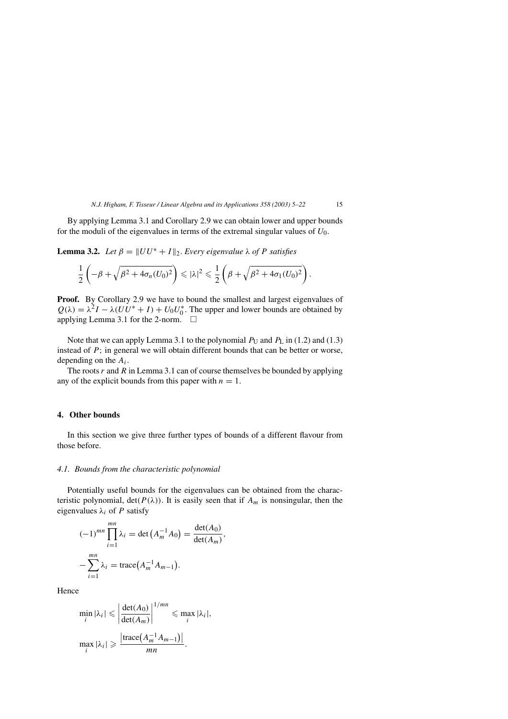By applying Lemma 3.1 and Corollary 2.9 we can obtain lower and upper bounds for the moduli of the eigenvalues in terms of the extremal singular values of *U*0*.*

**Lemma 3.2.** *Let*  $\beta = ||UU^* + I||_2$ . *Every eigenvalue*  $\lambda$  *of P satisfies* 

$$
\frac{1}{2}\left(-\beta+\sqrt{\beta^2+4\sigma_n(U_0)^2}\right)\leqslant |\lambda|^2\leqslant \frac{1}{2}\left(\beta+\sqrt{\beta^2+4\sigma_1(U_0)^2}\right).
$$

**Proof.** By Corollary 2.9 we have to bound the smallest and largest eigenvalues of  $Q(\lambda) = \lambda^2 I - \lambda (UU^* + I) + U_0 U_0^*$ . The upper and lower bounds are obtained by applying Lemma 3.1 for the 2-norm.  $\Box$ 

Note that we can apply Lemma 3.1 to the polynomial  $P_U$  and  $P_L$  in (1.2) and (1.3) instead of *P*; in general we will obtain different bounds that can be better or worse, depending on the *Ai.*

The roots *r* and *R* in Lemma 3.1 can of course themselves be bounded by applying any of the explicit bounds from this paper with  $n = 1$ .

## **4. Other bounds**

In this section we give three further types of bounds of a different flavour from those before.

#### *4.1. Bounds from the characteristic polynomial*

Potentially useful bounds for the eigenvalues can be obtained from the characteristic polynomial,  $det(P(\lambda))$ . It is easily seen that if  $A_m$  is nonsingular, then the eigenvalues  $\lambda_i$  of *P* satisfy

$$
(-1)^{mn} \prod_{i=1}^{mn} \lambda_i = \det(A_m^{-1} A_0) = \frac{\det(A_0)}{\det(A_m)},
$$
  

$$
-\sum_{i=1}^{mn} \lambda_i = \text{trace}(A_m^{-1} A_{m-1}).
$$

Hence

$$
\min_{i} |\lambda_{i}| \leqslant \left| \frac{\det(A_{0})}{\det(A_{m})} \right|^{1/m} \leqslant \max_{i} |\lambda_{i}|,
$$

$$
\max_{i} |\lambda_{i}| \geqslant \frac{\left| \text{trace}\left(A_{m}^{-1} A_{m-1}\right) \right|}{mn}.
$$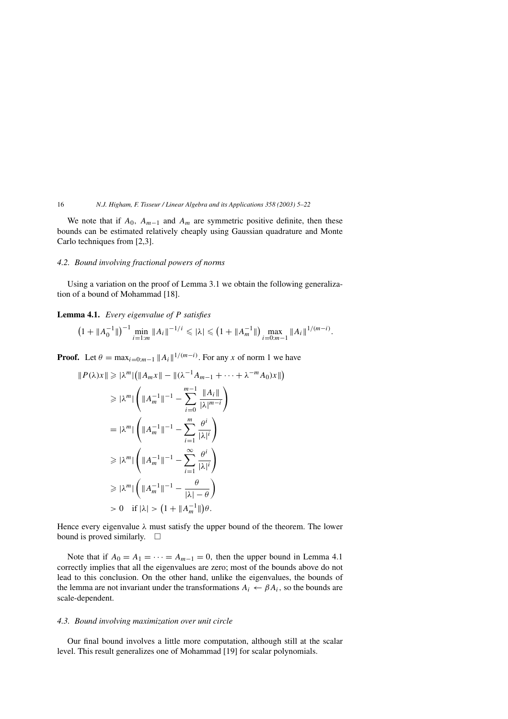We note that if  $A_0$ ,  $A_{m-1}$  and  $A_m$  are symmetric positive definite, then these bounds can be estimated relatively cheaply using Gaussian quadrature and Monte Carlo techniques from [2,3].

#### *4.2. Bound involving fractional powers of norms*

Using a variation on the proof of Lemma 3.1 we obtain the following generalization of a bound of Mohammad [18].

**Lemma 4.1.** *Every eigenvalue of P satisfies*

$$
\left(1+\|A_0^{-1}\|\right)^{-1}\min_{i=1:m}\|A_i\|^{-1/i}\leqslant |\lambda|\leqslant \left(1+\|A_m^{-1}\|\right)\max_{i=0:m-1}\|A_i\|^{1/(m-i)}.
$$

**Proof.** Let  $\theta = \max_{i=0:m-1} ||A_i||^{1/(m-i)}$ . For any *x* of norm 1 we have

$$
||P(\lambda)x|| \ge |\lambda^m| (||A_mx|| - ||(\lambda^{-1}A_{m-1} + \dots + \lambda^{-m}A_0)x||)
$$
  
\n
$$
\ge |\lambda^m| \left( ||A_m^{-1}||^{-1} - \sum_{i=0}^{m-1} \frac{||A_i||}{|\lambda|^{m-i}} \right)
$$
  
\n
$$
= |\lambda^m| \left( ||A_m^{-1}||^{-1} - \sum_{i=1}^m \frac{\theta^i}{|\lambda|^i} \right)
$$
  
\n
$$
\ge |\lambda^m| \left( ||A_m^{-1}||^{-1} - \sum_{i=1}^\infty \frac{\theta^i}{|\lambda|^i} \right)
$$
  
\n
$$
\ge |\lambda^m| \left( ||A_m^{-1}||^{-1} - \frac{\theta}{|\lambda| - \theta} \right)
$$
  
\n
$$
> |\lambda^m| \left( ||A_m^{-1}||^{-1} - \frac{\theta}{|\lambda| - \theta} \right)
$$
  
\n
$$
> 0 \quad \text{if } |\lambda| > (1 + ||A_m^{-1}||)\theta.
$$

Hence every eigenvalue *λ* must satisfy the upper bound of the theorem. The lower bound is proved similarly.  $\square$ 

Note that if  $A_0 = A_1 = \cdots = A_{m-1} = 0$ , then the upper bound in Lemma 4.1 correctly implies that all the eigenvalues are zero; most of the bounds above do not lead to this conclusion. On the other hand, unlike the eigenvalues, the bounds of the lemma are not invariant under the transformations  $A_i \leftarrow \beta A_i$ , so the bounds are scale-dependent.

## *4.3. Bound involving maximization over unit circle*

Our final bound involves a little more computation, although still at the scalar level. This result generalizes one of Mohammad [19] for scalar polynomials.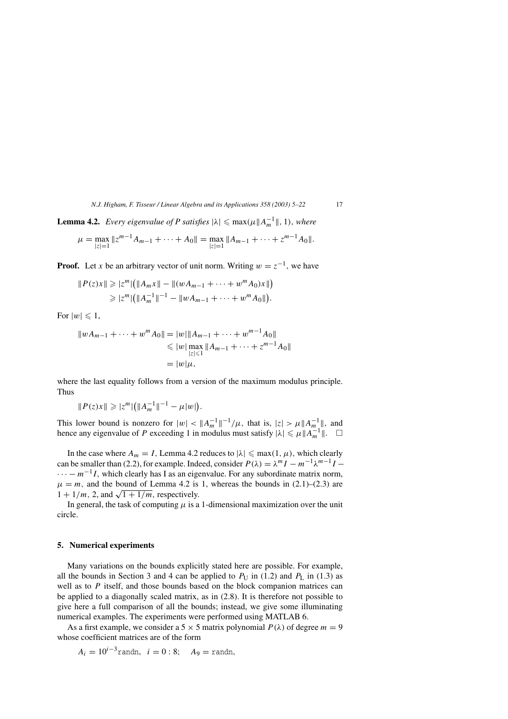**Lemma 4.2.** *Every eigenvalue of P satisfies*  $|\lambda| \leq \max(\mu \|A_m^{-1}\|, 1)$ , *where* 

$$
\mu = \max_{|z|=1} \|z^{m-1}A_{m-1} + \cdots + A_0\| = \max_{|z|=1} \|A_{m-1} + \cdots + z^{m-1}A_0\|.
$$

**Proof.** Let *x* be an arbitrary vector of unit norm. Writing  $w = z^{-1}$ , we have

$$
||P(z)x|| \geq |z^m| (||A_mx|| - ||(wA_{m-1} + \dots + w^m A_0)x||)
$$
  
\n
$$
\geq |z^m| (||A_m^{-1}||^{-1} - ||wA_{m-1} + \dots + w^m A_0||).
$$

For  $|w| \leq 1$ ,

$$
||wA_{m-1} + \dots + w^{m}A_0|| = |w||A_{m-1} + \dots + w^{m-1}A_0||
$$
  
\n
$$
\leq |w| \max_{|z| \leq 1} ||A_{m-1} + \dots + z^{m-1}A_0||
$$
  
\n
$$
= |w|\mu,
$$

where the last equality follows from a version of the maximum modulus principle. Thus

$$
||P(z)x|| \geqslant |z^m| (||A_m^{-1}||^{-1} - \mu|w|).
$$

This lower bound is nonzero for  $|w| < ||A_m^{-1}||^{-1}/\mu$ , that is,  $|z| > \mu ||A_m^{-1}||$ , and hence any eigenvalue of *P* exceeding 1 in modulus must satisfy  $|\lambda| \le \mu \|A_m^{-1}\|$ .  $\Box$ 

In the case where  $A_m = I$ , Lemma 4.2 reduces to  $|\lambda| \leq \max(1, \mu)$ , which clearly can be smaller than (2.2), for example. Indeed, consider  $P(\lambda) = \lambda^m I - m^{-1} \lambda^{m-1} I$  $\cdots - m^{-1}I$ , which clearly has I as an eigenvalue. For any subordinate matrix norm,  $\mu = m$ , and the bound of Lemma 4.2 is 1, whereas the bounds in (2.1)–(2.3) are  $1 + \frac{1}{m}$ , 2, and  $\sqrt{1 + \frac{1}{m}}$ , respectively.

In general, the task of computing  $\mu$  is a 1-dimensional maximization over the unit circle.

#### **5. Numerical experiments**

Many variations on the bounds explicitly stated here are possible. For example, all the bounds in Section 3 and 4 can be applied to  $P_U$  in (1.2) and  $P_L$  in (1.3) as well as to *P* itself, and those bounds based on the block companion matrices can be applied to a diagonally scaled matrix, as in (2.8). It is therefore not possible to give here a full comparison of all the bounds; instead, we give some illuminating numerical examples. The experiments were performed using MATLAB 6.

As a first example, we consider a 5  $\times$  5 matrix polynomial  $P(\lambda)$  of degree  $m = 9$ whose coefficient matrices are of the form

$$
A_i = 10^{i-3}
$$
randn,  $i = 0:8$ ;  $A_9 =$ randn,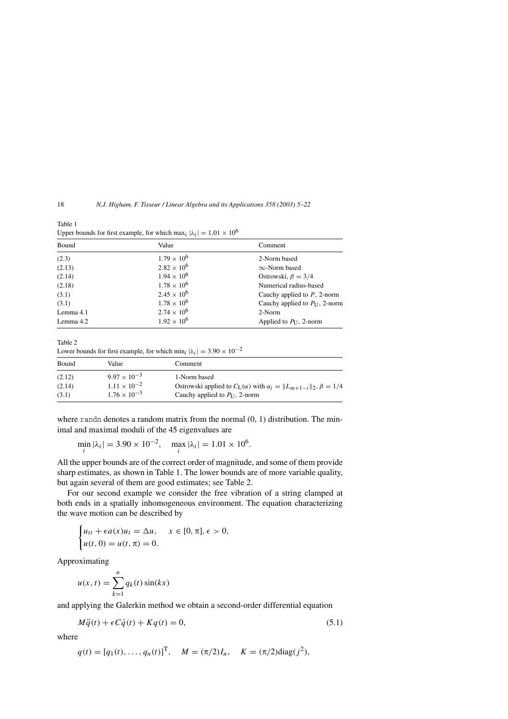18 *N.J. Higham, F. Tisseur / Linear Algebra and its Applications 358 (2003) 5–22*

Table 1 Upper bounds for first example, for which max<sub>i</sub>  $|\lambda_i| = 1.01 \times 10^6$ 

| Bound     | Value                | Comment                                    |
|-----------|----------------------|--------------------------------------------|
| (2.3)     | $1.79 \times 10^{6}$ | 2-Norm based                               |
| (2.13)    | $2.82 \times 10^{6}$ | $\infty$ -Norm based                       |
| (2.14)    | $1.94 \times 10^{6}$ | Ostrowski, $\beta = 3/4$                   |
| (2.18)    | $1.78 \times 10^{6}$ | Numerical radius-based                     |
| (3.1)     | $2.45 \times 10^{6}$ | Cauchy applied to $P$ , 2-norm             |
| (3.1)     | $1.78 \times 10^{6}$ | Cauchy applied to $P_{\text{II}}$ , 2-norm |
| Lemma 4.1 | $2.74 \times 10^{6}$ | 2-Norm                                     |
| Lemma 4.2 | $1.92 \times 10^{6}$ | Applied to $P_{II}$ , 2-norm               |

Table 2

Lower bounds for first example, for which min<sub>i</sub>  $|\lambda_i| = 3.90 \times 10^{-2}$ 

| Bound  | Value                 | Comment                                                                                |
|--------|-----------------------|----------------------------------------------------------------------------------------|
| (2.12) | $9.97 \times 10^{-3}$ | 1-Norm based                                                                           |
| (2.14) | $1.11 \times 10^{-2}$ | Ostrowski applied to $C_{L}(\alpha)$ with $\alpha_i =   L_{m+1-i}  _2$ , $\beta = 1/4$ |
| (3.1)  | $1.76 \times 10^{-3}$ | Cauchy applied to $P_{\text{II}}$ , 2-norm                                             |

where randn denotes a random matrix from the normal  $(0, 1)$  distribution. The minimal and maximal moduli of the 45 eigenvalues are

$$
\min_{i} |\lambda_{i}| = 3.90 \times 10^{-2}, \quad \max_{i} |\lambda_{i}| = 1.01 \times 10^{6}.
$$

All the upper bounds are of the correct order of magnitude, and some of them provide sharp estimates, as shown in Table 1. The lower bounds are of more variable quality, but again several of them are good estimates; see Table 2.

For our second example we consider the free vibration of a string clamped at both ends in a spatially inhomogeneous environment. The equation characterizing the wave motion can be described by

$$
\begin{cases} u_{tt} + \epsilon a(x)u_t = \Delta u, & x \in [0, \pi], \epsilon > 0, \\ u(t, 0) = u(t, \pi) = 0. \end{cases}
$$

Approximating

$$
u(x, t) = \sum_{k=1}^{n} q_k(t) \sin(kx)
$$

and applying the Galerkin method we obtain a second-order differential equation

$$
M\ddot{q}(t) + \epsilon C\dot{q}(t) + Kq(t) = 0,\tag{5.1}
$$

where

$$
q(t) = [q_1(t), ..., q_n(t)]^T
$$
,  $M = (\pi/2)I_n$ ,  $K = (\pi/2)diag(j^2)$ ,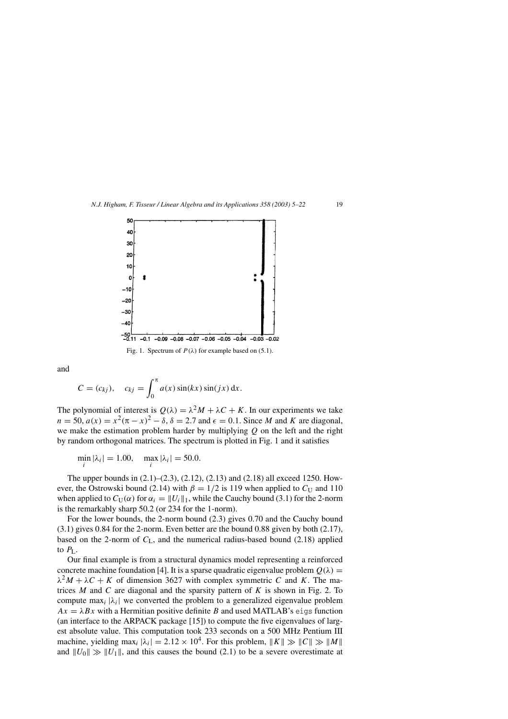*N.J. Higham, F. Tisseur / Linear Algebra and its Applications 358 (2003) 5–22* 19



and

$$
C = (c_{kj}), \quad c_{kj} = \int_0^{\pi} a(x) \sin(kx) \sin(jx) dx.
$$

The polynomial of interest is  $Q(\lambda) = \lambda^2 M + \lambda C + K$ . In our experiments we take  $n = 50$ ,  $a(x) = x^2(\pi - x)^2 - \delta$ ,  $\delta = 2.7$  and  $\epsilon = 0.1$ . Since *M* and *K* are diagonal, we make the estimation problem harder by multiplying *Q* on the left and the right by random orthogonal matrices. The spectrum is plotted in Fig. 1 and it satisfies

 $\min_{i} |\lambda_{i}| = 1.00, \quad \max_{i} |\lambda_{i}| = 50.0.$ 

The upper bounds in (2.1)–(2.3), (2.12), (2.13) and (2.18) all exceed 1250. However, the Ostrowski bound (2.14) with  $\beta = 1/2$  is 119 when applied to  $C_U$  and 110 when applied to  $C_U(\alpha)$  for  $\alpha_i = ||U_i||_1$ , while the Cauchy bound (3.1) for the 2-norm is the remarkably sharp 50.2 (or 234 for the 1-norm).

For the lower bounds, the 2-norm bound (2.3) gives 0.70 and the Cauchy bound (3.1) gives 0.84 for the 2-norm. Even better are the bound 0.88 given by both (2.17), based on the 2-norm of  $C_{L}$ , and the numerical radius-based bound (2.18) applied to  $P_L$ .

Our final example is from a structural dynamics model representing a reinforced concrete machine foundation [4]. It is a sparse quadratic eigenvalue problem  $Q(\lambda)$  =  $\lambda^2 M + \lambda C + K$  of dimension 3627 with complex symmetric *C* and *K*. The matrices *M* and *C* are diagonal and the sparsity pattern of *K* is shown in Fig. 2. To compute max<sub>i</sub>  $|\lambda_i|$  we converted the problem to a generalized eigenvalue problem  $Ax = \lambda Bx$  with a Hermitian positive definite *B* and used MATLAB's eigs function (an interface to the ARPACK package [15]) to compute the five eigenvalues of largest absolute value. This computation took 233 seconds on a 500 MHz Pentium III machine, yielding max<sub>i</sub>  $|\lambda_i| = 2.12 \times 10^4$ . For this problem,  $||K|| \gg ||C|| \gg ||M||$ and  $||U_0|| \gg ||U_1||$ , and this causes the bound (2.1) to be a severe overestimate at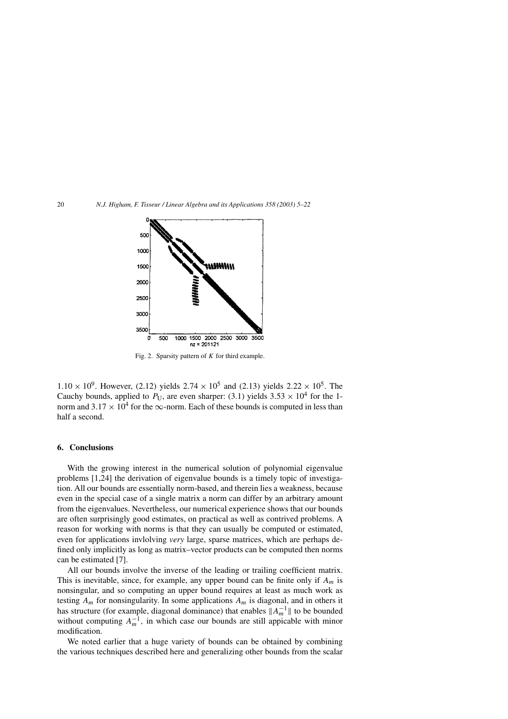20 *N.J. Higham, F. Tisseur / Linear Algebra and its Applications 358 (2003) 5–22*



Fig. 2. Sparsity pattern of *K* for third example.

 $1.10 \times 10^{9}$ . However, (2.12) yields  $2.74 \times 10^{5}$  and (2.13) yields  $2.22 \times 10^{5}$ . The Cauchy bounds, applied to  $P_U$ , are even sharper: (3.1) yields  $3.53 \times 10^4$  for the 1norm and  $3.17 \times 10^4$  for the  $\infty$ -norm. Each of these bounds is computed in less than half a second.

#### **6. Conclusions**

With the growing interest in the numerical solution of polynomial eigenvalue problems [1,24] the derivation of eigenvalue bounds is a timely topic of investigation. All our bounds are essentially norm-based, and therein lies a weakness, because even in the special case of a single matrix a norm can differ by an arbitrary amount from the eigenvalues. Nevertheless, our numerical experience shows that our bounds are often surprisingly good estimates, on practical as well as contrived problems. A reason for working with norms is that they can usually be computed or estimated, even for applications invlolving *very* large, sparse matrices, which are perhaps defined only implicitly as long as matrix–vector products can be computed then norms can be estimated [7].

All our bounds involve the inverse of the leading or trailing coefficient matrix. This is inevitable, since, for example, any upper bound can be finite only if *Am* is nonsingular, and so computing an upper bound requires at least as much work as testing  $A_m$  for nonsingularity. In some applications  $A_m$  is diagonal, and in others it has structure (for example, diagonal dominance) that enables  $||A_m^{-1}||$  to be bounded without computing  $A_m^{-1}$ , in which case our bounds are still appicable with minor modification.

We noted earlier that a huge variety of bounds can be obtained by combining the various techniques described here and generalizing other bounds from the scalar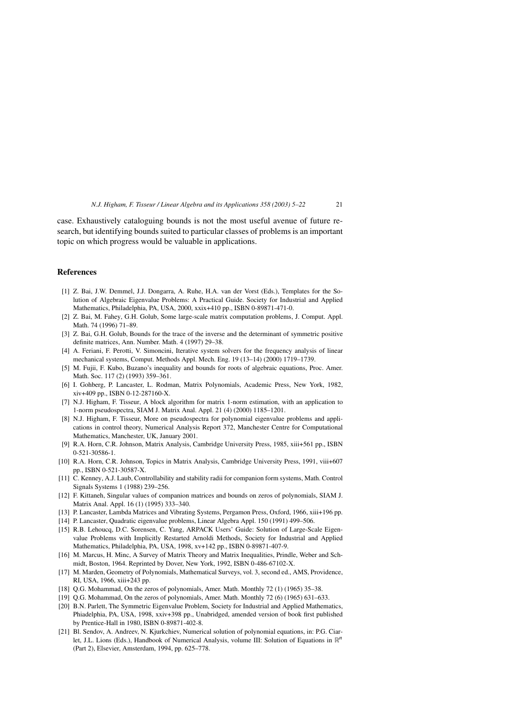case. Exhaustively cataloguing bounds is not the most useful avenue of future research, but identifying bounds suited to particular classes of problems is an important topic on which progress would be valuable in applications.

#### **References**

- [1] Z. Bai, J.W. Demmel, J.J. Dongarra, A. Ruhe, H.A. van der Vorst (Eds.), Templates for the Solution of Algebraic Eigenvalue Problems: A Practical Guide. Society for Industrial and Applied Mathematics, Philadelphia, PA, USA, 2000, xxix+410 pp., ISBN 0-89871-471-0.
- [2] Z. Bai, M. Fahey, G.H. Golub, Some large-scale matrix computation problems, J. Comput. Appl. Math. 74 (1996) 71–89.
- [3] Z. Bai, G.H. Golub, Bounds for the trace of the inverse and the determinant of symmetric positive definite matrices, Ann. Number. Math. 4 (1997) 29–38.
- [4] A. Feriani, F. Perotti, V. Simoncini, Iterative system solvers for the frequency analysis of linear mechanical systems, Comput. Methods Appl. Mech. Eng. 19 (13–14) (2000) 1719–1739.
- [5] M. Fujii, F. Kubo, Buzano's inequality and bounds for roots of algebraic equations, Proc. Amer. Math. Soc. 117 (2) (1993) 359–361.
- [6] I. Gohberg, P. Lancaster, L. Rodman, Matrix Polynomials, Academic Press, New York, 1982, xiv+409 pp., ISBN 0-12-287160-X.
- [7] N.J. Higham, F. Tisseur, A block algorithm for matrix 1-norm estimation, with an application to 1-norm pseudospectra, SIAM J. Matrix Anal. Appl. 21 (4) (2000) 1185–1201.
- [8] N.J. Higham, F. Tisseur, More on pseudospectra for polynomial eigenvalue problems and applications in control theory, Numerical Analysis Report 372, Manchester Centre for Computational Mathematics, Manchester, UK, January 2001.
- [9] R.A. Horn, C.R. Johnson, Matrix Analysis, Cambridge University Press, 1985, xiii+561 pp., ISBN 0-521-30586-1.
- [10] R.A. Horn, C.R. Johnson, Topics in Matrix Analysis, Cambridge University Press, 1991, viii+607 pp., ISBN 0-521-30587-X.
- [11] C. Kenney, A.J. Laub, Controllability and stability radii for companion form systems, Math. Control Signals Systems 1 (1988) 239–256.
- [12] F. Kittaneh, Singular values of companion matrices and bounds on zeros of polynomials, SIAM J. Matrix Anal. Appl. 16 (1) (1995) 333–340.
- [13] P. Lancaster, Lambda Matrices and Vibrating Systems, Pergamon Press, Oxford, 1966, xiii+196 pp.
- [14] P. Lancaster, Quadratic eigenvalue problems, Linear Algebra Appl. 150 (1991) 499–506.
- [15] R.B. Lehoucq, D.C. Sorensen, C. Yang, ARPACK Users' Guide: Solution of Large-Scale Eigenvalue Problems with Implicitly Restarted Arnoldi Methods, Society for Industrial and Applied Mathematics, Philadelphia, PA, USA, 1998, xv+142 pp., ISBN 0-89871-407-9.
- [16] M. Marcus, H. Minc, A Survey of Matrix Theory and Matrix Inequalities, Prindle, Weber and Schmidt, Boston, 1964. Reprinted by Dover, New York, 1992, ISBN 0-486-67102-X.
- [17] M. Marden, Geometry of Polynomials, Mathematical Surveys, vol. 3, second ed., AMS, Providence, RI, USA, 1966, xiii+243 pp.
- [18] Q.G. Mohammad, On the zeros of polynomials, Amer. Math. Monthly 72 (1) (1965) 35-38.
- [19] Q.G. Mohammad, On the zeros of polynomials, Amer. Math. Monthly 72 (6) (1965) 631–633.
- [20] B.N. Parlett, The Symmetric Eigenvalue Problem, Society for Industrial and Applied Mathematics, Phiadelphia, PA, USA, 1998, xxiv+398 pp., Unabridged, amended version of book first published by Prentice-Hall in 1980, ISBN 0-89871-402-8.
- [21] Bl. Sendov, A. Andreev, N. Kjurkchiev, Numerical solution of polynomial equations, in: P.G. Ciarlet, J.L. Lions (Eds.), Handbook of Numerical Analysis, volume III: Solution of Equations in R*<sup>n</sup>* (Part 2), Elsevier, Amsterdam, 1994, pp. 625–778.